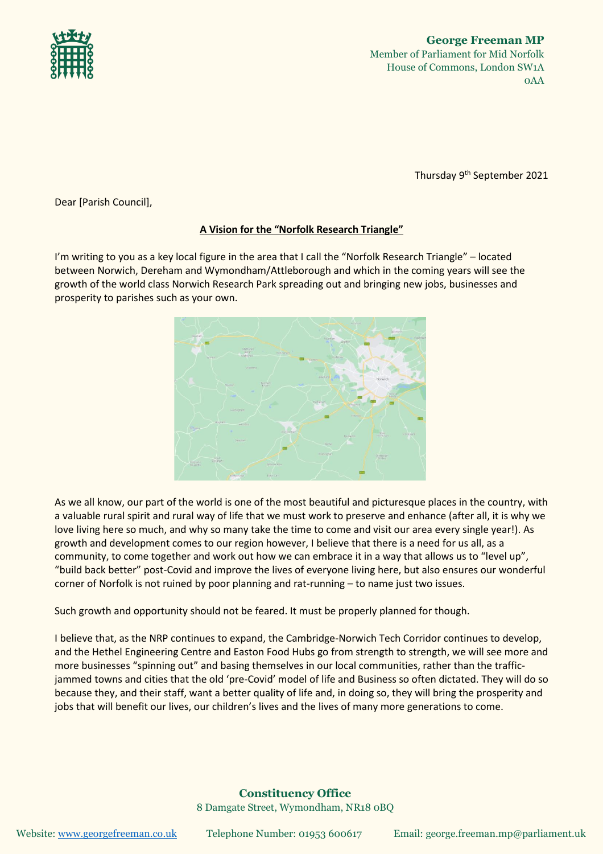

Thursday 9 th September 2021

Dear [Parish Council],

## **A Vision for the "Norfolk Research Triangle"**

I'm writing to you as a key local figure in the area that I call the "Norfolk Research Triangle" – located between Norwich, Dereham and Wymondham/Attleborough and which in the coming years will see the growth of the world class Norwich Research Park spreading out and bringing new jobs, businesses and prosperity to parishes such as your own.



As we all know, our part of the world is one of the most beautiful and picturesque places in the country, with a valuable rural spirit and rural way of life that we must work to preserve and enhance (after all, it is why we love living here so much, and why so many take the time to come and visit our area every single year!). As growth and development comes to our region however, I believe that there is a need for us all, as a community, to come together and work out how we can embrace it in a way that allows us to "level up", "build back better" post-Covid and improve the lives of everyone living here, but also ensures our wonderful corner of Norfolk is not ruined by poor planning and rat-running – to name just two issues.

Such growth and opportunity should not be feared. It must be properly planned for though.

I believe that, as the NRP continues to expand, the Cambridge-Norwich Tech Corridor continues to develop, and the Hethel Engineering Centre and Easton Food Hubs go from strength to strength, we will see more and more businesses "spinning out" and basing themselves in our local communities, rather than the trafficjammed towns and cities that the old 'pre-Covid' model of life and Business so often dictated. They will do so because they, and their staff, want a better quality of life and, in doing so, they will bring the prosperity and jobs that will benefit our lives, our children's lives and the lives of many more generations to come.

## **Constituency Office** 8 Damgate Street, Wymondham, NR18 0BQ